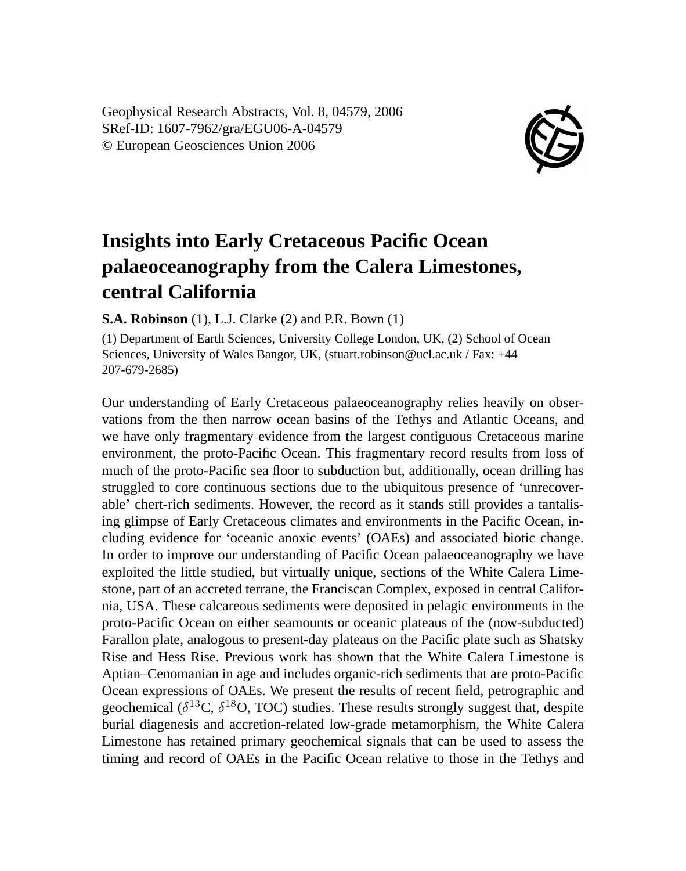Geophysical Research Abstracts, Vol. 8, 04579, 2006 SRef-ID: 1607-7962/gra/EGU06-A-04579 © European Geosciences Union 2006



## **Insights into Early Cretaceous Pacific Ocean palaeoceanography from the Calera Limestones, central California**

**S.A. Robinson** (1), L.J. Clarke (2) and P.R. Bown (1)

(1) Department of Earth Sciences, University College London, UK, (2) School of Ocean Sciences, University of Wales Bangor, UK, (stuart.robinson@ucl.ac.uk / Fax: +44 207-679-2685)

Our understanding of Early Cretaceous palaeoceanography relies heavily on observations from the then narrow ocean basins of the Tethys and Atlantic Oceans, and we have only fragmentary evidence from the largest contiguous Cretaceous marine environment, the proto-Pacific Ocean. This fragmentary record results from loss of much of the proto-Pacific sea floor to subduction but, additionally, ocean drilling has struggled to core continuous sections due to the ubiquitous presence of 'unrecoverable' chert-rich sediments. However, the record as it stands still provides a tantalising glimpse of Early Cretaceous climates and environments in the Pacific Ocean, including evidence for 'oceanic anoxic events' (OAEs) and associated biotic change. In order to improve our understanding of Pacific Ocean palaeoceanography we have exploited the little studied, but virtually unique, sections of the White Calera Limestone, part of an accreted terrane, the Franciscan Complex, exposed in central California, USA. These calcareous sediments were deposited in pelagic environments in the proto-Pacific Ocean on either seamounts or oceanic plateaus of the (now-subducted) Farallon plate, analogous to present-day plateaus on the Pacific plate such as Shatsky Rise and Hess Rise. Previous work has shown that the White Calera Limestone is Aptian–Cenomanian in age and includes organic-rich sediments that are proto-Pacific Ocean expressions of OAEs. We present the results of recent field, petrographic and geochemical ( $\delta^{13}$ C,  $\delta^{18}$ O, TOC) studies. These results strongly suggest that, despite burial diagenesis and accretion-related low-grade metamorphism, the White Calera Limestone has retained primary geochemical signals that can be used to assess the timing and record of OAEs in the Pacific Ocean relative to those in the Tethys and